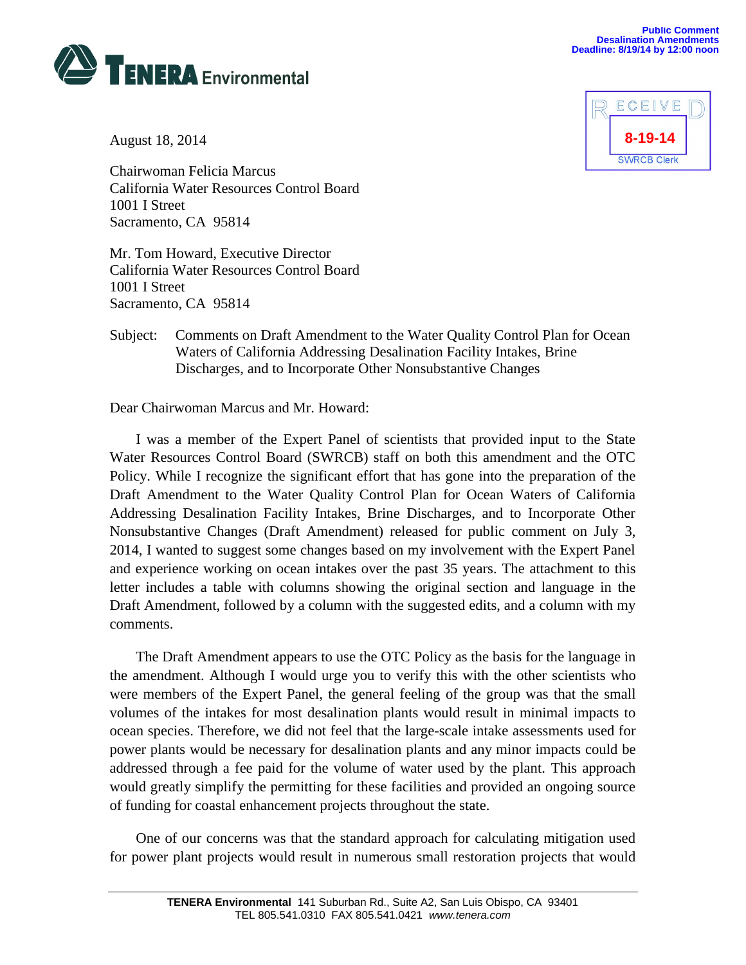



August 18, 2014

Chairwoman Felicia Marcus California Water Resources Control Board 1001 I Street Sacramento, CA 95814

Mr. Tom Howard, Executive Director California Water Resources Control Board 1001 I Street Sacramento, CA 95814

## Subject: Comments on Draft Amendment to the Water Quality Control Plan for Ocean Waters of California Addressing Desalination Facility Intakes, Brine Discharges, and to Incorporate Other Nonsubstantive Changes

## Dear Chairwoman Marcus and Mr. Howard:

I was a member of the Expert Panel of scientists that provided input to the State Water Resources Control Board (SWRCB) staff on both this amendment and the OTC Policy. While I recognize the significant effort that has gone into the preparation of the Draft Amendment to the Water Quality Control Plan for Ocean Waters of California Addressing Desalination Facility Intakes, Brine Discharges, and to Incorporate Other Nonsubstantive Changes (Draft Amendment) released for public comment on July 3, 2014, I wanted to suggest some changes based on my involvement with the Expert Panel and experience working on ocean intakes over the past 35 years. The attachment to this letter includes a table with columns showing the original section and language in the Draft Amendment, followed by a column with the suggested edits, and a column with my comments.

The Draft Amendment appears to use the OTC Policy as the basis for the language in the amendment. Although I would urge you to verify this with the other scientists who were members of the Expert Panel, the general feeling of the group was that the small volumes of the intakes for most desalination plants would result in minimal impacts to ocean species. Therefore, we did not feel that the large-scale intake assessments used for power plants would be necessary for desalination plants and any minor impacts could be addressed through a fee paid for the volume of water used by the plant. This approach would greatly simplify the permitting for these facilities and provided an ongoing source of funding for coastal enhancement projects throughout the state.

One of our concerns was that the standard approach for calculating mitigation used for power plant projects would result in numerous small restoration projects that would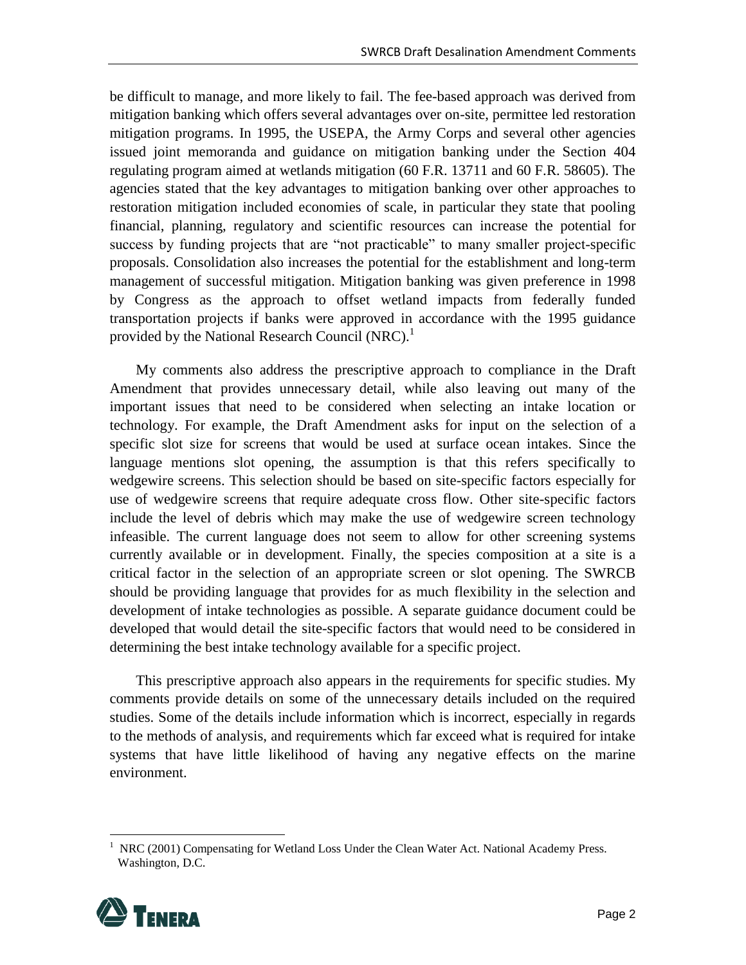be difficult to manage, and more likely to fail. The fee-based approach was derived from mitigation banking which offers several advantages over on-site, permittee led restoration mitigation programs. In 1995, the USEPA, the Army Corps and several other agencies issued joint memoranda and guidance on mitigation banking under the Section 404 regulating program aimed at wetlands mitigation (60 F.R. 13711 and 60 F.R. 58605). The agencies stated that the key advantages to mitigation banking over other approaches to restoration mitigation included economies of scale, in particular they state that pooling financial, planning, regulatory and scientific resources can increase the potential for success by funding projects that are "not practicable" to many smaller project-specific proposals. Consolidation also increases the potential for the establishment and long-term management of successful mitigation. Mitigation banking was given preference in 1998 by Congress as the approach to offset wetland impacts from federally funded transportation projects if banks were approved in accordance with the 1995 guidance provided by the National Research Council (NRC).<sup>1</sup>

My comments also address the prescriptive approach to compliance in the Draft Amendment that provides unnecessary detail, while also leaving out many of the important issues that need to be considered when selecting an intake location or technology. For example, the Draft Amendment asks for input on the selection of a specific slot size for screens that would be used at surface ocean intakes. Since the language mentions slot opening, the assumption is that this refers specifically to wedgewire screens. This selection should be based on site-specific factors especially for use of wedgewire screens that require adequate cross flow. Other site-specific factors include the level of debris which may make the use of wedgewire screen technology infeasible. The current language does not seem to allow for other screening systems currently available or in development. Finally, the species composition at a site is a critical factor in the selection of an appropriate screen or slot opening. The SWRCB should be providing language that provides for as much flexibility in the selection and development of intake technologies as possible. A separate guidance document could be developed that would detail the site-specific factors that would need to be considered in determining the best intake technology available for a specific project.

This prescriptive approach also appears in the requirements for specific studies. My comments provide details on some of the unnecessary details included on the required studies. Some of the details include information which is incorrect, especially in regards to the methods of analysis, and requirements which far exceed what is required for intake systems that have little likelihood of having any negative effects on the marine environment.

<sup>1</sup> NRC (2001) Compensating for Wetland Loss Under the Clean Water Act. National Academy Press. Washington, D.C.



 $\overline{a}$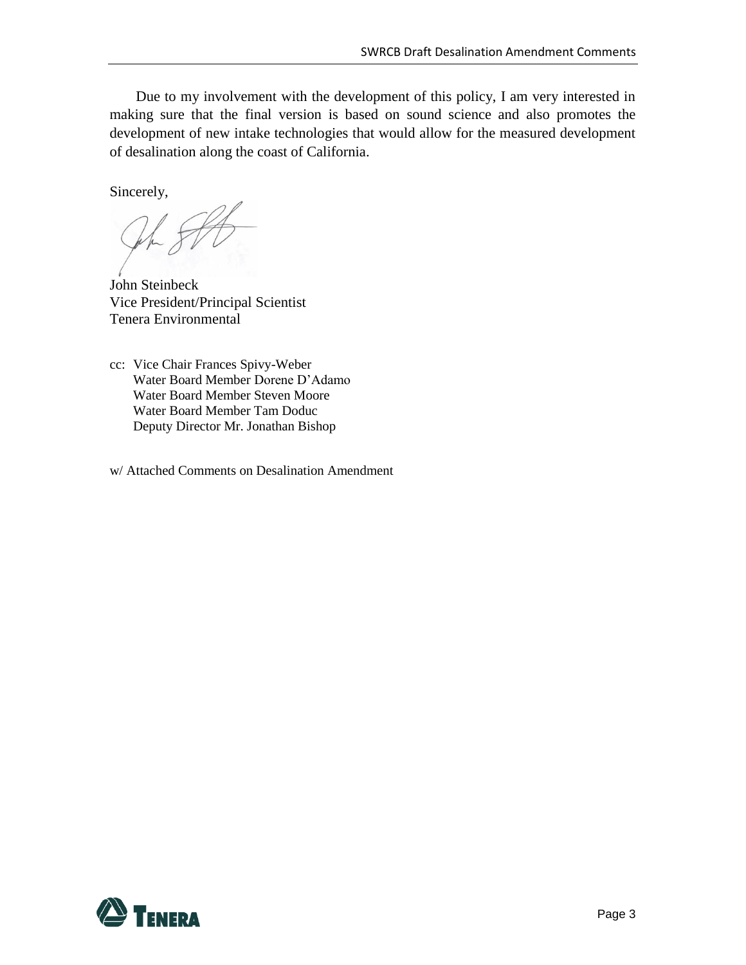Due to my involvement with the development of this policy, I am very interested in making sure that the final version is based on sound science and also promotes the development of new intake technologies that would allow for the measured development of desalination along the coast of California.

Sincerely,

John Steinbeck Vice President/Principal Scientist Tenera Environmental

- cc: Vice Chair Frances Spivy-Weber Water Board Member Dorene D'Adamo Water Board Member Steven Moore Water Board Member Tam Doduc Deputy Director Mr. Jonathan Bishop
- w/ Attached Comments on Desalination Amendment

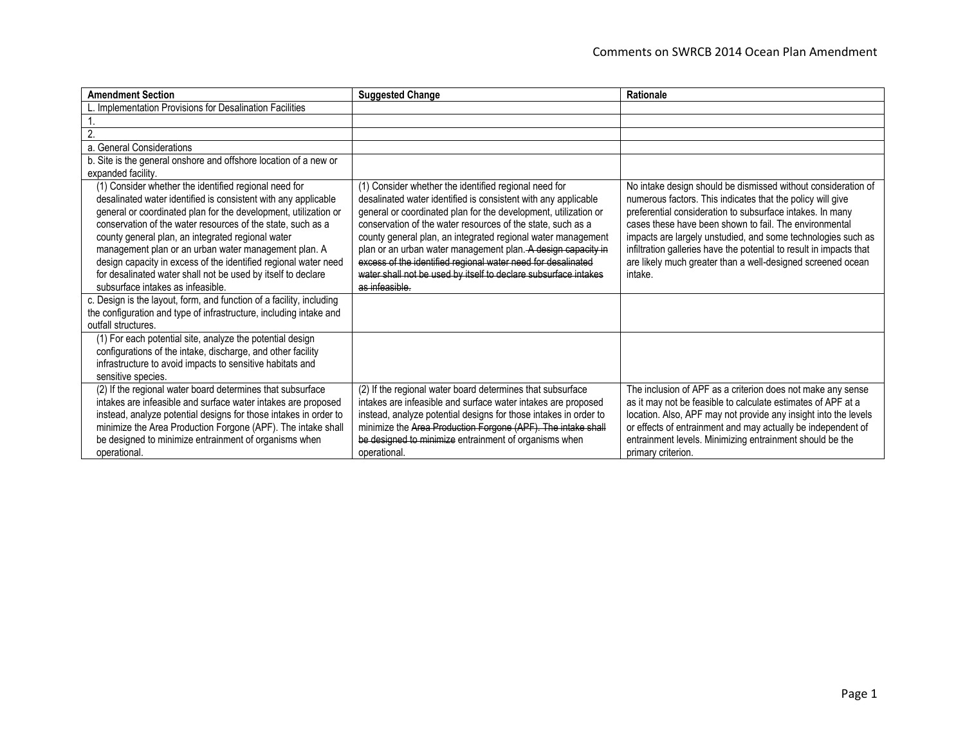| <b>Amendment Section</b>                                                                                                                                                                                                                                                                                                                                                                                                                                                                                                                       | <b>Suggested Change</b>                                                                                                                                                                                                                                                                                                                                                                                                                                                                                                                        | Rationale                                                                                                                                                                                                                                                                                                                                                                                                                                                           |
|------------------------------------------------------------------------------------------------------------------------------------------------------------------------------------------------------------------------------------------------------------------------------------------------------------------------------------------------------------------------------------------------------------------------------------------------------------------------------------------------------------------------------------------------|------------------------------------------------------------------------------------------------------------------------------------------------------------------------------------------------------------------------------------------------------------------------------------------------------------------------------------------------------------------------------------------------------------------------------------------------------------------------------------------------------------------------------------------------|---------------------------------------------------------------------------------------------------------------------------------------------------------------------------------------------------------------------------------------------------------------------------------------------------------------------------------------------------------------------------------------------------------------------------------------------------------------------|
| Implementation Provisions for Desalination Facilities                                                                                                                                                                                                                                                                                                                                                                                                                                                                                          |                                                                                                                                                                                                                                                                                                                                                                                                                                                                                                                                                |                                                                                                                                                                                                                                                                                                                                                                                                                                                                     |
|                                                                                                                                                                                                                                                                                                                                                                                                                                                                                                                                                |                                                                                                                                                                                                                                                                                                                                                                                                                                                                                                                                                |                                                                                                                                                                                                                                                                                                                                                                                                                                                                     |
| 2.                                                                                                                                                                                                                                                                                                                                                                                                                                                                                                                                             |                                                                                                                                                                                                                                                                                                                                                                                                                                                                                                                                                |                                                                                                                                                                                                                                                                                                                                                                                                                                                                     |
| a. General Considerations                                                                                                                                                                                                                                                                                                                                                                                                                                                                                                                      |                                                                                                                                                                                                                                                                                                                                                                                                                                                                                                                                                |                                                                                                                                                                                                                                                                                                                                                                                                                                                                     |
| b. Site is the general onshore and offshore location of a new or                                                                                                                                                                                                                                                                                                                                                                                                                                                                               |                                                                                                                                                                                                                                                                                                                                                                                                                                                                                                                                                |                                                                                                                                                                                                                                                                                                                                                                                                                                                                     |
| expanded facility.                                                                                                                                                                                                                                                                                                                                                                                                                                                                                                                             |                                                                                                                                                                                                                                                                                                                                                                                                                                                                                                                                                |                                                                                                                                                                                                                                                                                                                                                                                                                                                                     |
| (1) Consider whether the identified regional need for<br>desalinated water identified is consistent with any applicable<br>general or coordinated plan for the development, utilization or<br>conservation of the water resources of the state, such as a<br>county general plan, an integrated regional water<br>management plan or an urban water management plan. A<br>design capacity in excess of the identified regional water need<br>for desalinated water shall not be used by itself to declare<br>subsurface intakes as infeasible. | (1) Consider whether the identified regional need for<br>desalinated water identified is consistent with any applicable<br>general or coordinated plan for the development, utilization or<br>conservation of the water resources of the state, such as a<br>county general plan, an integrated regional water management<br>plan or an urban water management plan. A design capacity in<br>excess of the identified regional water need for desalinated<br>water shall not be used by itself to declare subsurface intakes<br>as infeasible. | No intake design should be dismissed without consideration of<br>numerous factors. This indicates that the policy will give<br>preferential consideration to subsurface intakes. In many<br>cases these have been shown to fail. The environmental<br>impacts are largely unstudied, and some technologies such as<br>infiltration galleries have the potential to result in impacts that<br>are likely much greater than a well-designed screened ocean<br>intake. |
| c. Design is the layout, form, and function of a facility, including<br>the configuration and type of infrastructure, including intake and<br>outfall structures.                                                                                                                                                                                                                                                                                                                                                                              |                                                                                                                                                                                                                                                                                                                                                                                                                                                                                                                                                |                                                                                                                                                                                                                                                                                                                                                                                                                                                                     |
| (1) For each potential site, analyze the potential design<br>configurations of the intake, discharge, and other facility<br>infrastructure to avoid impacts to sensitive habitats and<br>sensitive species.                                                                                                                                                                                                                                                                                                                                    |                                                                                                                                                                                                                                                                                                                                                                                                                                                                                                                                                |                                                                                                                                                                                                                                                                                                                                                                                                                                                                     |
| (2) If the regional water board determines that subsurface<br>intakes are infeasible and surface water intakes are proposed<br>instead, analyze potential designs for those intakes in order to<br>minimize the Area Production Forgone (APF). The intake shall<br>be designed to minimize entrainment of organisms when<br>operational.                                                                                                                                                                                                       | (2) If the regional water board determines that subsurface<br>intakes are infeasible and surface water intakes are proposed<br>instead, analyze potential designs for those intakes in order to<br>minimize the Area Production Forgone (APF). The intake shall<br>be designed to minimize entrainment of organisms when<br>operational.                                                                                                                                                                                                       | The inclusion of APF as a criterion does not make any sense<br>as it may not be feasible to calculate estimates of APF at a<br>location. Also, APF may not provide any insight into the levels<br>or effects of entrainment and may actually be independent of<br>entrainment levels. Minimizing entrainment should be the<br>primary criterion.                                                                                                                    |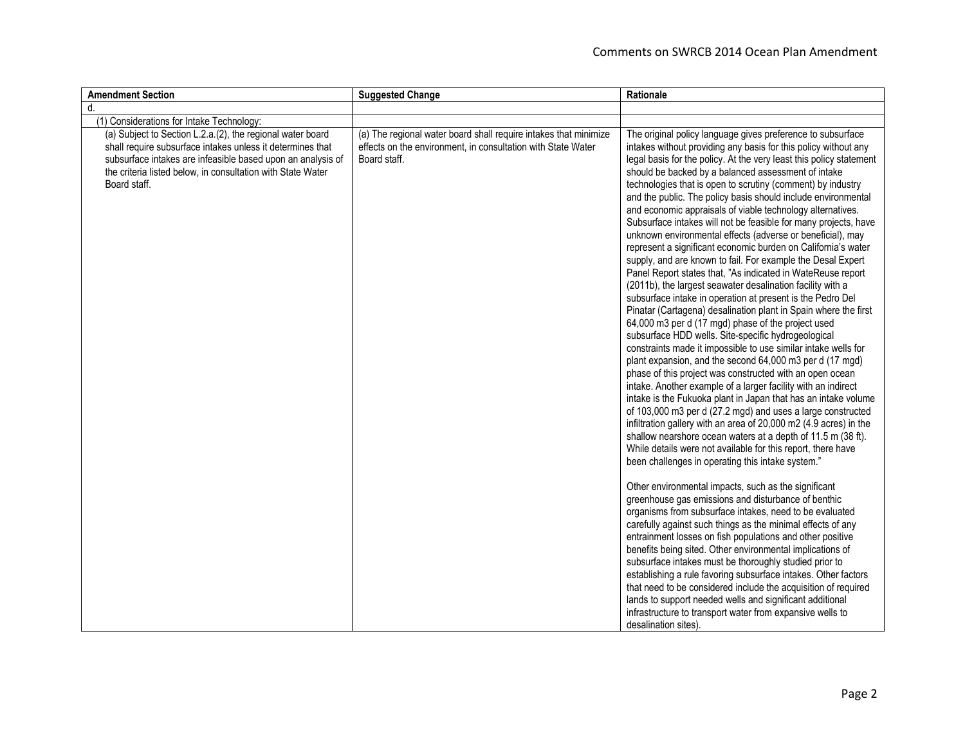| <b>Amendment Section</b>                                                                                                                                                                                                                                               | <b>Suggested Change</b>                                                                                                                          | Rationale                                                                                                                                                                                                                                                                                                                                                                                                                                                                                                                                                                                                                                                                                                                                                                                                                                                                                                                                                                                                                                                                                                                                                                                                                                                                                                                                                                                                                                                                                                                                                                                                                                                                                                                                                                                                                                                                                                                                                                                                                                                                                                                                                                                                                                                                                                                                                                                                                                              |
|------------------------------------------------------------------------------------------------------------------------------------------------------------------------------------------------------------------------------------------------------------------------|--------------------------------------------------------------------------------------------------------------------------------------------------|--------------------------------------------------------------------------------------------------------------------------------------------------------------------------------------------------------------------------------------------------------------------------------------------------------------------------------------------------------------------------------------------------------------------------------------------------------------------------------------------------------------------------------------------------------------------------------------------------------------------------------------------------------------------------------------------------------------------------------------------------------------------------------------------------------------------------------------------------------------------------------------------------------------------------------------------------------------------------------------------------------------------------------------------------------------------------------------------------------------------------------------------------------------------------------------------------------------------------------------------------------------------------------------------------------------------------------------------------------------------------------------------------------------------------------------------------------------------------------------------------------------------------------------------------------------------------------------------------------------------------------------------------------------------------------------------------------------------------------------------------------------------------------------------------------------------------------------------------------------------------------------------------------------------------------------------------------------------------------------------------------------------------------------------------------------------------------------------------------------------------------------------------------------------------------------------------------------------------------------------------------------------------------------------------------------------------------------------------------------------------------------------------------------------------------------------------------|
| d.                                                                                                                                                                                                                                                                     |                                                                                                                                                  |                                                                                                                                                                                                                                                                                                                                                                                                                                                                                                                                                                                                                                                                                                                                                                                                                                                                                                                                                                                                                                                                                                                                                                                                                                                                                                                                                                                                                                                                                                                                                                                                                                                                                                                                                                                                                                                                                                                                                                                                                                                                                                                                                                                                                                                                                                                                                                                                                                                        |
| (1) Considerations for Intake Technology:                                                                                                                                                                                                                              |                                                                                                                                                  |                                                                                                                                                                                                                                                                                                                                                                                                                                                                                                                                                                                                                                                                                                                                                                                                                                                                                                                                                                                                                                                                                                                                                                                                                                                                                                                                                                                                                                                                                                                                                                                                                                                                                                                                                                                                                                                                                                                                                                                                                                                                                                                                                                                                                                                                                                                                                                                                                                                        |
| (a) Subject to Section L.2.a.(2), the regional water board<br>shall require subsurface intakes unless it determines that<br>subsurface intakes are infeasible based upon an analysis of<br>the criteria listed below, in consultation with State Water<br>Board staff. | (a) The regional water board shall require intakes that minimize<br>effects on the environment, in consultation with State Water<br>Board staff. | The original policy language gives preference to subsurface<br>intakes without providing any basis for this policy without any<br>legal basis for the policy. At the very least this policy statement<br>should be backed by a balanced assessment of intake<br>technologies that is open to scrutiny (comment) by industry<br>and the public. The policy basis should include environmental<br>and economic appraisals of viable technology alternatives.<br>Subsurface intakes will not be feasible for many projects, have<br>unknown environmental effects (adverse or beneficial), may<br>represent a significant economic burden on California's water<br>supply, and are known to fail. For example the Desal Expert<br>Panel Report states that, "As indicated in WateReuse report<br>(2011b), the largest seawater desalination facility with a<br>subsurface intake in operation at present is the Pedro Del<br>Pinatar (Cartagena) desalination plant in Spain where the first<br>64,000 m3 per d (17 mgd) phase of the project used<br>subsurface HDD wells. Site-specific hydrogeological<br>constraints made it impossible to use similar intake wells for<br>plant expansion, and the second 64,000 m3 per d (17 mgd)<br>phase of this project was constructed with an open ocean<br>intake. Another example of a larger facility with an indirect<br>intake is the Fukuoka plant in Japan that has an intake volume<br>of 103,000 m3 per d (27.2 mgd) and uses a large constructed<br>infiltration gallery with an area of 20,000 m2 (4.9 acres) in the<br>shallow nearshore ocean waters at a depth of 11.5 m (38 ft).<br>While details were not available for this report, there have<br>been challenges in operating this intake system."<br>Other environmental impacts, such as the significant<br>greenhouse gas emissions and disturbance of benthic<br>organisms from subsurface intakes, need to be evaluated<br>carefully against such things as the minimal effects of any<br>entrainment losses on fish populations and other positive<br>benefits being sited. Other environmental implications of<br>subsurface intakes must be thoroughly studied prior to<br>establishing a rule favoring subsurface intakes. Other factors<br>that need to be considered include the acquisition of required<br>lands to support needed wells and significant additional<br>infrastructure to transport water from expansive wells to |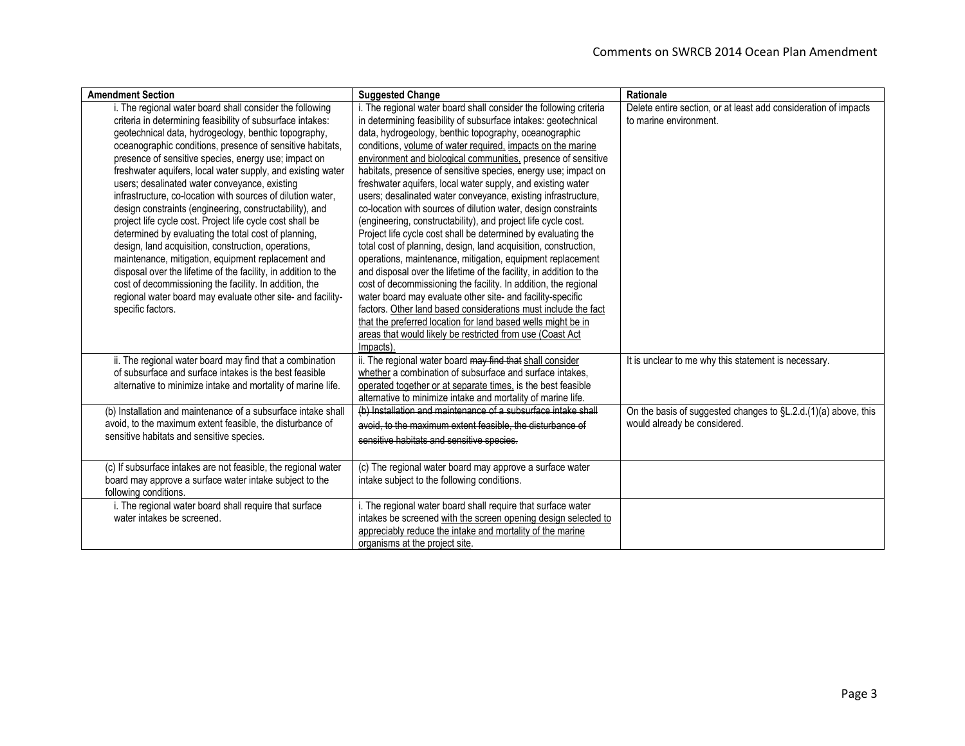| <b>Amendment Section</b>                                                                                                                                                                                                                                                                                                                                                                                                                                                                                                                                                                                                                                                                                                                                                                                                                                                                                                                                                                        | <b>Suggested Change</b>                                                                                                                                                                                                                                                                                                                                                                                                                                                                                                                                                                                                                                                                                                                                                                                                                                                                                                                                                                                                                                                                                                                                                                                                                                                                | Rationale                                                                                      |
|-------------------------------------------------------------------------------------------------------------------------------------------------------------------------------------------------------------------------------------------------------------------------------------------------------------------------------------------------------------------------------------------------------------------------------------------------------------------------------------------------------------------------------------------------------------------------------------------------------------------------------------------------------------------------------------------------------------------------------------------------------------------------------------------------------------------------------------------------------------------------------------------------------------------------------------------------------------------------------------------------|----------------------------------------------------------------------------------------------------------------------------------------------------------------------------------------------------------------------------------------------------------------------------------------------------------------------------------------------------------------------------------------------------------------------------------------------------------------------------------------------------------------------------------------------------------------------------------------------------------------------------------------------------------------------------------------------------------------------------------------------------------------------------------------------------------------------------------------------------------------------------------------------------------------------------------------------------------------------------------------------------------------------------------------------------------------------------------------------------------------------------------------------------------------------------------------------------------------------------------------------------------------------------------------|------------------------------------------------------------------------------------------------|
| i. The regional water board shall consider the following<br>criteria in determining feasibility of subsurface intakes:<br>geotechnical data, hydrogeology, benthic topography,<br>oceanographic conditions, presence of sensitive habitats,<br>presence of sensitive species, energy use; impact on<br>freshwater aquifers, local water supply, and existing water<br>users; desalinated water conveyance, existing<br>infrastructure, co-location with sources of dilution water,<br>design constraints (engineering, constructability), and<br>project life cycle cost. Project life cycle cost shall be<br>determined by evaluating the total cost of planning,<br>design, land acquisition, construction, operations,<br>maintenance, mitigation, equipment replacement and<br>disposal over the lifetime of the facility, in addition to the<br>cost of decommissioning the facility. In addition, the<br>regional water board may evaluate other site- and facility-<br>specific factors. | i. The regional water board shall consider the following criteria<br>in determining feasibility of subsurface intakes: geotechnical<br>data, hydrogeology, benthic topography, oceanographic<br>conditions, volume of water required, impacts on the marine<br>environment and biological communities, presence of sensitive<br>habitats, presence of sensitive species, energy use; impact on<br>freshwater aquifers, local water supply, and existing water<br>users; desalinated water conveyance, existing infrastructure,<br>co-location with sources of dilution water, design constraints<br>(engineering, constructability), and project life cycle cost.<br>Project life cycle cost shall be determined by evaluating the<br>total cost of planning, design, land acquisition, construction,<br>operations, maintenance, mitigation, equipment replacement<br>and disposal over the lifetime of the facility, in addition to the<br>cost of decommissioning the facility. In addition, the regional<br>water board may evaluate other site- and facility-specific<br>factors. Other land based considerations must include the fact<br>that the preferred location for land based wells might be in<br>areas that would likely be restricted from use (Coast Act<br>Impacts). | Delete entire section, or at least add consideration of impacts<br>to marine environment.      |
| ii. The regional water board may find that a combination<br>of subsurface and surface intakes is the best feasible<br>alternative to minimize intake and mortality of marine life.                                                                                                                                                                                                                                                                                                                                                                                                                                                                                                                                                                                                                                                                                                                                                                                                              | ii. The regional water board may find that shall consider<br>whether a combination of subsurface and surface intakes,<br>operated together or at separate times, is the best feasible<br>alternative to minimize intake and mortality of marine life.                                                                                                                                                                                                                                                                                                                                                                                                                                                                                                                                                                                                                                                                                                                                                                                                                                                                                                                                                                                                                                  | It is unclear to me why this statement is necessary.                                           |
| (b) Installation and maintenance of a subsurface intake shall<br>avoid, to the maximum extent feasible, the disturbance of<br>sensitive habitats and sensitive species.                                                                                                                                                                                                                                                                                                                                                                                                                                                                                                                                                                                                                                                                                                                                                                                                                         | (b) Installation and maintenance of a subsurface intake shall<br>avoid, to the maximum extent feasible, the disturbance of<br>sensitive habitats and sensitive species.                                                                                                                                                                                                                                                                                                                                                                                                                                                                                                                                                                                                                                                                                                                                                                                                                                                                                                                                                                                                                                                                                                                | On the basis of suggested changes to SL.2.d.(1)(a) above, this<br>would already be considered. |
| (c) If subsurface intakes are not feasible, the regional water<br>board may approve a surface water intake subject to the<br>following conditions.                                                                                                                                                                                                                                                                                                                                                                                                                                                                                                                                                                                                                                                                                                                                                                                                                                              | (c) The regional water board may approve a surface water<br>intake subject to the following conditions.                                                                                                                                                                                                                                                                                                                                                                                                                                                                                                                                                                                                                                                                                                                                                                                                                                                                                                                                                                                                                                                                                                                                                                                |                                                                                                |
| i. The regional water board shall require that surface<br>water intakes be screened.                                                                                                                                                                                                                                                                                                                                                                                                                                                                                                                                                                                                                                                                                                                                                                                                                                                                                                            | i. The regional water board shall require that surface water<br>intakes be screened with the screen opening design selected to<br>appreciably reduce the intake and mortality of the marine<br>organisms at the project site.                                                                                                                                                                                                                                                                                                                                                                                                                                                                                                                                                                                                                                                                                                                                                                                                                                                                                                                                                                                                                                                          |                                                                                                |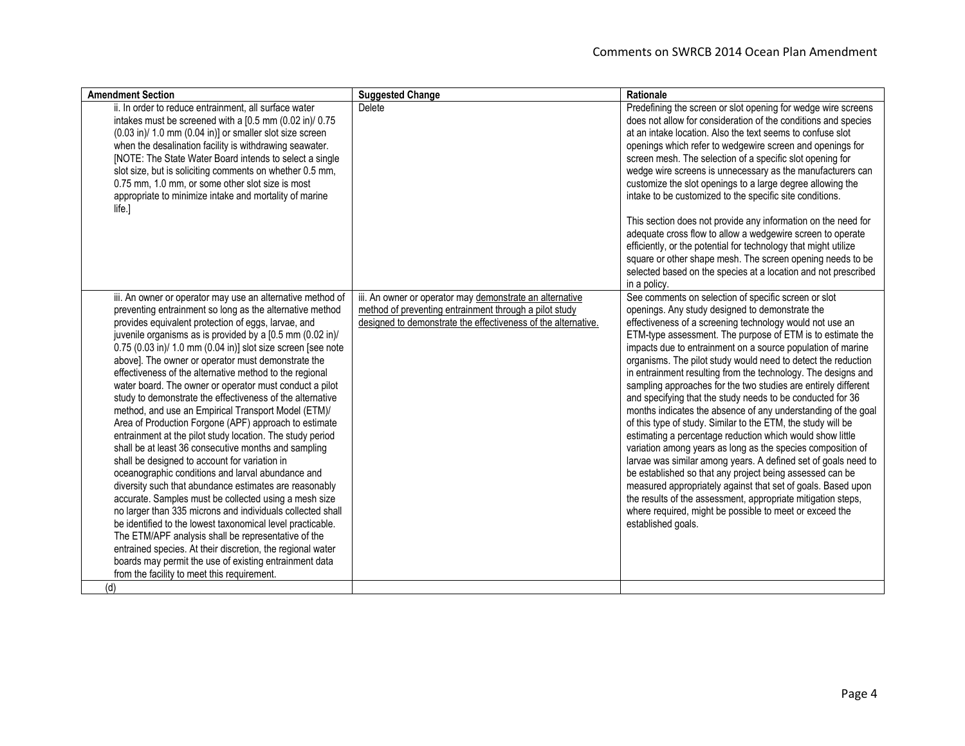| <b>Amendment Section</b>                                                             | <b>Suggested Change</b>                                       | Rationale                                                       |
|--------------------------------------------------------------------------------------|---------------------------------------------------------------|-----------------------------------------------------------------|
| ii. In order to reduce entrainment, all surface water                                | Delete                                                        | Predefining the screen or slot opening for wedge wire screens   |
| intakes must be screened with a [0.5 mm (0.02 in)/ 0.75                              |                                                               | does not allow for consideration of the conditions and species  |
| $(0.03 \text{ in})/1.0 \text{ mm}$ $(0.04 \text{ in})$ ] or smaller slot size screen |                                                               | at an intake location. Also the text seems to confuse slot      |
| when the desalination facility is withdrawing seawater.                              |                                                               | openings which refer to wedgewire screen and openings for       |
| [NOTE: The State Water Board intends to select a single                              |                                                               | screen mesh. The selection of a specific slot opening for       |
| slot size, but is soliciting comments on whether 0.5 mm,                             |                                                               | wedge wire screens is unnecessary as the manufacturers can      |
| 0.75 mm, 1.0 mm, or some other slot size is most                                     |                                                               | customize the slot openings to a large degree allowing the      |
| appropriate to minimize intake and mortality of marine                               |                                                               | intake to be customized to the specific site conditions.        |
| life.]                                                                               |                                                               |                                                                 |
|                                                                                      |                                                               | This section does not provide any information on the need for   |
|                                                                                      |                                                               | adequate cross flow to allow a wedgewire screen to operate      |
|                                                                                      |                                                               | efficiently, or the potential for technology that might utilize |
|                                                                                      |                                                               | square or other shape mesh. The screen opening needs to be      |
|                                                                                      |                                                               | selected based on the species at a location and not prescribed  |
|                                                                                      |                                                               | in a policy.                                                    |
| iii. An owner or operator may use an alternative method of                           | iii. An owner or operator may demonstrate an alternative      | See comments on selection of specific screen or slot            |
| preventing entrainment so long as the alternative method                             | method of preventing entrainment through a pilot study        | openings. Any study designed to demonstrate the                 |
| provides equivalent protection of eggs, larvae, and                                  | designed to demonstrate the effectiveness of the alternative. | effectiveness of a screening technology would not use an        |
| juvenile organisms as is provided by a [0.5 mm (0.02 in)/                            |                                                               | ETM-type assessment. The purpose of ETM is to estimate the      |
| 0.75 (0.03 in)/ 1.0 mm (0.04 in)] slot size screen [see note                         |                                                               | impacts due to entrainment on a source population of marine     |
| above]. The owner or operator must demonstrate the                                   |                                                               | organisms. The pilot study would need to detect the reduction   |
| effectiveness of the alternative method to the regional                              |                                                               | in entrainment resulting from the technology. The designs and   |
| water board. The owner or operator must conduct a pilot                              |                                                               | sampling approaches for the two studies are entirely different  |
| study to demonstrate the effectiveness of the alternative                            |                                                               | and specifying that the study needs to be conducted for 36      |
| method, and use an Empirical Transport Model (ETM)/                                  |                                                               | months indicates the absence of any understanding of the goal   |
| Area of Production Forgone (APF) approach to estimate                                |                                                               | of this type of study. Similar to the ETM, the study will be    |
| entrainment at the pilot study location. The study period                            |                                                               | estimating a percentage reduction which would show little       |
| shall be at least 36 consecutive months and sampling                                 |                                                               | variation among years as long as the species composition of     |
| shall be designed to account for variation in                                        |                                                               | larvae was similar among years. A defined set of goals need to  |
| oceanographic conditions and larval abundance and                                    |                                                               | be established so that any project being assessed can be        |
| diversity such that abundance estimates are reasonably                               |                                                               | measured appropriately against that set of goals. Based upon    |
| accurate. Samples must be collected using a mesh size                                |                                                               | the results of the assessment, appropriate mitigation steps,    |
| no larger than 335 microns and individuals collected shall                           |                                                               | where required, might be possible to meet or exceed the         |
| be identified to the lowest taxonomical level practicable.                           |                                                               | established goals.                                              |
| The ETM/APF analysis shall be representative of the                                  |                                                               |                                                                 |
| entrained species. At their discretion, the regional water                           |                                                               |                                                                 |
| boards may permit the use of existing entrainment data                               |                                                               |                                                                 |
| from the facility to meet this requirement.                                          |                                                               |                                                                 |
| (d)                                                                                  |                                                               |                                                                 |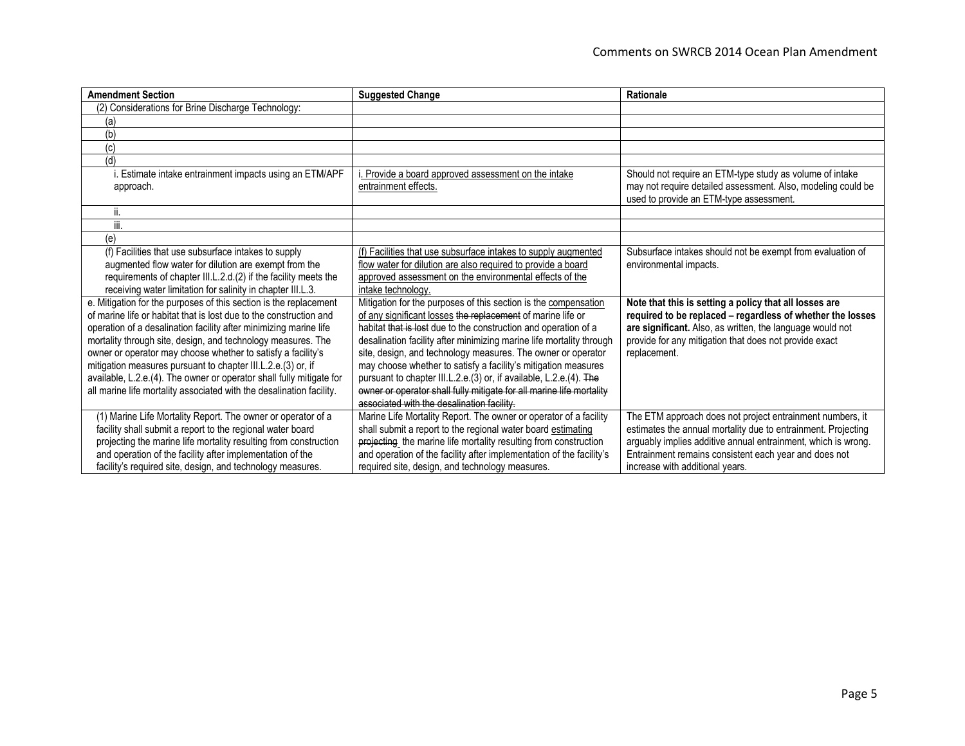| <b>Amendment Section</b>                                                                                                      | <b>Suggested Change</b>                                                                                                                  | Rationale                                                                                                              |
|-------------------------------------------------------------------------------------------------------------------------------|------------------------------------------------------------------------------------------------------------------------------------------|------------------------------------------------------------------------------------------------------------------------|
| (2) Considerations for Brine Discharge Technology:                                                                            |                                                                                                                                          |                                                                                                                        |
| (a)                                                                                                                           |                                                                                                                                          |                                                                                                                        |
| (b)                                                                                                                           |                                                                                                                                          |                                                                                                                        |
| (c)                                                                                                                           |                                                                                                                                          |                                                                                                                        |
| (d)                                                                                                                           |                                                                                                                                          |                                                                                                                        |
| i. Estimate intake entrainment impacts using an ETM/APF                                                                       | . Provide a board approved assessment on the intake                                                                                      | Should not require an ETM-type study as volume of intake                                                               |
| approach.                                                                                                                     | entrainment effects.                                                                                                                     | may not require detailed assessment. Also, modeling could be                                                           |
|                                                                                                                               |                                                                                                                                          | used to provide an ETM-type assessment.                                                                                |
| н.                                                                                                                            |                                                                                                                                          |                                                                                                                        |
| iii.                                                                                                                          |                                                                                                                                          |                                                                                                                        |
| (e)                                                                                                                           |                                                                                                                                          |                                                                                                                        |
| (f) Facilities that use subsurface intakes to supply                                                                          | (f) Facilities that use subsurface intakes to supply augmented                                                                           | Subsurface intakes should not be exempt from evaluation of                                                             |
| augmented flow water for dilution are exempt from the                                                                         | flow water for dilution are also required to provide a board                                                                             | environmental impacts.                                                                                                 |
| requirements of chapter III.L.2.d.(2) if the facility meets the                                                               | approved assessment on the environmental effects of the                                                                                  |                                                                                                                        |
| receiving water limitation for salinity in chapter III.L.3.                                                                   | intake technology.                                                                                                                       |                                                                                                                        |
| e. Mitigation for the purposes of this section is the replacement                                                             | Mitigation for the purposes of this section is the compensation                                                                          | Note that this is setting a policy that all losses are                                                                 |
| of marine life or habitat that is lost due to the construction and                                                            | of any significant losses the replacement of marine life or                                                                              | required to be replaced - regardless of whether the losses                                                             |
| operation of a desalination facility after minimizing marine life                                                             | habitat that is lost due to the construction and operation of a                                                                          | are significant. Also, as written, the language would not                                                              |
| mortality through site, design, and technology measures. The                                                                  | desalination facility after minimizing marine life mortality through                                                                     | provide for any mitigation that does not provide exact                                                                 |
| owner or operator may choose whether to satisfy a facility's                                                                  | site, design, and technology measures. The owner or operator                                                                             | replacement.                                                                                                           |
| mitigation measures pursuant to chapter III.L.2.e.(3) or, if                                                                  | may choose whether to satisfy a facility's mitigation measures                                                                           |                                                                                                                        |
| available, L.2.e.(4). The owner or operator shall fully mitigate for                                                          | pursuant to chapter III.L.2.e.(3) or, if available, L.2.e.(4). The                                                                       |                                                                                                                        |
| all marine life mortality associated with the desalination facility.                                                          | owner or operator shall fully mitigate for all marine life mortality<br>associated with the desalination facility.                       |                                                                                                                        |
|                                                                                                                               |                                                                                                                                          |                                                                                                                        |
| (1) Marine Life Mortality Report. The owner or operator of a                                                                  | Marine Life Mortality Report. The owner or operator of a facility                                                                        | The ETM approach does not project entrainment numbers, it                                                              |
| facility shall submit a report to the regional water board                                                                    | shall submit a report to the regional water board estimating                                                                             | estimates the annual mortality due to entrainment. Projecting                                                          |
| projecting the marine life mortality resulting from construction<br>and operation of the facility after implementation of the | projecting the marine life mortality resulting from construction<br>and operation of the facility after implementation of the facility's | arguably implies additive annual entrainment, which is wrong.<br>Entrainment remains consistent each year and does not |
| facility's required site, design, and technology measures.                                                                    | required site, design, and technology measures.                                                                                          | increase with additional vears.                                                                                        |
|                                                                                                                               |                                                                                                                                          |                                                                                                                        |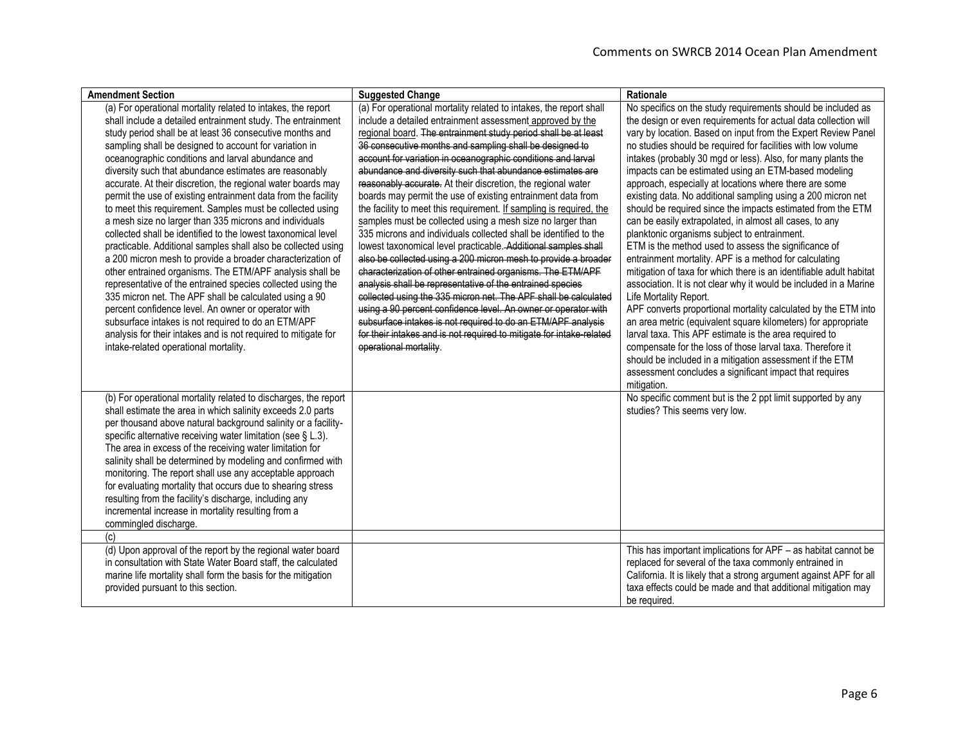| <b>Amendment Section</b>                                                                                                                                                                                                                                                                                                                                                                                                                                                                                                                                                                                                                                                                                                                                                                                                                                                                                                                                                                                                                                                                                                                                                                                                               | <b>Suggested Change</b>                                                                                                                                                                                                                                                                                                                                                                                                                                                                                                                                                                                                                                                                                                                                                                                                                                                                                                                                                                                                                                                                                                                                                                                                                                                                                 | Rationale                                                                                                                                                                                                                                                                                                                                                                                                                                                                                                                                                                                                                                                                                                                                                                                                                                                                                                                                                                                                                                                                                                                                                                                                                                                                                                                                                                             |
|----------------------------------------------------------------------------------------------------------------------------------------------------------------------------------------------------------------------------------------------------------------------------------------------------------------------------------------------------------------------------------------------------------------------------------------------------------------------------------------------------------------------------------------------------------------------------------------------------------------------------------------------------------------------------------------------------------------------------------------------------------------------------------------------------------------------------------------------------------------------------------------------------------------------------------------------------------------------------------------------------------------------------------------------------------------------------------------------------------------------------------------------------------------------------------------------------------------------------------------|---------------------------------------------------------------------------------------------------------------------------------------------------------------------------------------------------------------------------------------------------------------------------------------------------------------------------------------------------------------------------------------------------------------------------------------------------------------------------------------------------------------------------------------------------------------------------------------------------------------------------------------------------------------------------------------------------------------------------------------------------------------------------------------------------------------------------------------------------------------------------------------------------------------------------------------------------------------------------------------------------------------------------------------------------------------------------------------------------------------------------------------------------------------------------------------------------------------------------------------------------------------------------------------------------------|---------------------------------------------------------------------------------------------------------------------------------------------------------------------------------------------------------------------------------------------------------------------------------------------------------------------------------------------------------------------------------------------------------------------------------------------------------------------------------------------------------------------------------------------------------------------------------------------------------------------------------------------------------------------------------------------------------------------------------------------------------------------------------------------------------------------------------------------------------------------------------------------------------------------------------------------------------------------------------------------------------------------------------------------------------------------------------------------------------------------------------------------------------------------------------------------------------------------------------------------------------------------------------------------------------------------------------------------------------------------------------------|
| (a) For operational mortality related to intakes, the report<br>shall include a detailed entrainment study. The entrainment<br>study period shall be at least 36 consecutive months and<br>sampling shall be designed to account for variation in<br>oceanographic conditions and larval abundance and<br>diversity such that abundance estimates are reasonably<br>accurate. At their discretion, the regional water boards may<br>permit the use of existing entrainment data from the facility<br>to meet this requirement. Samples must be collected using<br>a mesh size no larger than 335 microns and individuals<br>collected shall be identified to the lowest taxonomical level<br>practicable. Additional samples shall also be collected using<br>a 200 micron mesh to provide a broader characterization of<br>other entrained organisms. The ETM/APF analysis shall be<br>representative of the entrained species collected using the<br>335 micron net. The APF shall be calculated using a 90<br>percent confidence level. An owner or operator with<br>subsurface intakes is not required to do an ETM/APF<br>analysis for their intakes and is not required to mitigate for<br>intake-related operational mortality. | (a) For operational mortality related to intakes, the report shall<br>include a detailed entrainment assessment approved by the<br>regional board. The entrainment study period shall be at least<br>36 consecutive months and sampling shall be designed to<br>account for variation in oceanographic conditions and larval<br>abundance and diversity such that abundance estimates are<br>reasonably accurate. At their discretion, the regional water<br>boards may permit the use of existing entrainment data from<br>the facility to meet this requirement. If sampling is required, the<br>samples must be collected using a mesh size no larger than<br>335 microns and individuals collected shall be identified to the<br>lowest taxonomical level practicable. Additional samples shall<br>also be collected using a 200 micron mesh to provide a broader<br>characterization of other entrained organisms. The ETM/APF<br>analysis shall be representative of the entrained species<br>collected using the 335 micron net. The APF shall be calculated<br>using a 90 percent confidence level. An owner or operator with<br>subsurface intakes is not required to do an ETM/APF analysis<br>for their intakes and is not required to mitigate for intake-related<br>operational mortality. | No specifics on the study requirements should be included as<br>the design or even requirements for actual data collection will<br>vary by location. Based on input from the Expert Review Panel<br>no studies should be required for facilities with low volume<br>intakes (probably 30 mgd or less). Also, for many plants the<br>impacts can be estimated using an ETM-based modeling<br>approach, especially at locations where there are some<br>existing data. No additional sampling using a 200 micron net<br>should be required since the impacts estimated from the ETM<br>can be easily extrapolated, in almost all cases, to any<br>planktonic organisms subject to entrainment.<br>ETM is the method used to assess the significance of<br>entrainment mortality. APF is a method for calculating<br>mitigation of taxa for which there is an identifiable adult habitat<br>association. It is not clear why it would be included in a Marine<br>Life Mortality Report.<br>APF converts proportional mortality calculated by the ETM into<br>an area metric (equivalent square kilometers) for appropriate<br>larval taxa. This APF estimate is the area required to<br>compensate for the loss of those larval taxa. Therefore it<br>should be included in a mitigation assessment if the ETM<br>assessment concludes a significant impact that requires<br>mitigation. |
| (b) For operational mortality related to discharges, the report<br>shall estimate the area in which salinity exceeds 2.0 parts<br>per thousand above natural background salinity or a facility-<br>specific alternative receiving water limitation (see § L.3).<br>The area in excess of the receiving water limitation for<br>salinity shall be determined by modeling and confirmed with<br>monitoring. The report shall use any acceptable approach<br>for evaluating mortality that occurs due to shearing stress<br>resulting from the facility's discharge, including any<br>incremental increase in mortality resulting from a<br>commingled discharge.<br>(c)<br>(d) Upon approval of the report by the regional water board                                                                                                                                                                                                                                                                                                                                                                                                                                                                                                   |                                                                                                                                                                                                                                                                                                                                                                                                                                                                                                                                                                                                                                                                                                                                                                                                                                                                                                                                                                                                                                                                                                                                                                                                                                                                                                         | No specific comment but is the 2 ppt limit supported by any<br>studies? This seems very low.<br>This has important implications for APF – as habitat cannot be                                                                                                                                                                                                                                                                                                                                                                                                                                                                                                                                                                                                                                                                                                                                                                                                                                                                                                                                                                                                                                                                                                                                                                                                                        |
| in consultation with State Water Board staff, the calculated<br>marine life mortality shall form the basis for the mitigation<br>provided pursuant to this section.                                                                                                                                                                                                                                                                                                                                                                                                                                                                                                                                                                                                                                                                                                                                                                                                                                                                                                                                                                                                                                                                    |                                                                                                                                                                                                                                                                                                                                                                                                                                                                                                                                                                                                                                                                                                                                                                                                                                                                                                                                                                                                                                                                                                                                                                                                                                                                                                         | replaced for several of the taxa commonly entrained in<br>California. It is likely that a strong argument against APF for all<br>taxa effects could be made and that additional mitigation may<br>be required.                                                                                                                                                                                                                                                                                                                                                                                                                                                                                                                                                                                                                                                                                                                                                                                                                                                                                                                                                                                                                                                                                                                                                                        |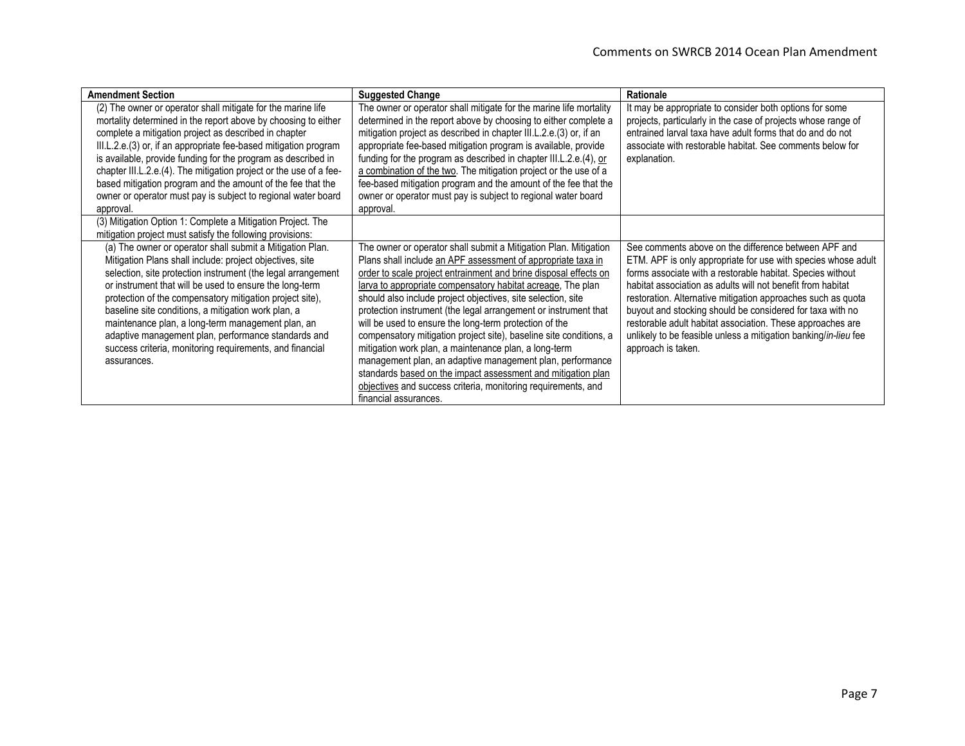| <b>Amendment Section</b>                                           | <b>Suggested Change</b>                                            | Rationale                                                       |
|--------------------------------------------------------------------|--------------------------------------------------------------------|-----------------------------------------------------------------|
| (2) The owner or operator shall mitigate for the marine life       | The owner or operator shall mitigate for the marine life mortality | It may be appropriate to consider both options for some         |
| mortality determined in the report above by choosing to either     | determined in the report above by choosing to either complete a    | projects, particularly in the case of projects whose range of   |
| complete a mitigation project as described in chapter              | mitigation project as described in chapter III.L.2.e.(3) or, if an | entrained larval taxa have adult forms that do and do not       |
| III.L.2.e.(3) or, if an appropriate fee-based mitigation program   | appropriate fee-based mitigation program is available, provide     | associate with restorable habitat. See comments below for       |
| is available, provide funding for the program as described in      | funding for the program as described in chapter III.L.2.e.(4), or  | explanation.                                                    |
| chapter III.L.2.e.(4). The mitigation project or the use of a fee- | a combination of the two. The mitigation project or the use of a   |                                                                 |
| based mitigation program and the amount of the fee that the        | fee-based mitigation program and the amount of the fee that the    |                                                                 |
| owner or operator must pay is subject to regional water board      | owner or operator must pay is subject to regional water board      |                                                                 |
| approval.                                                          | approval.                                                          |                                                                 |
| (3) Mitigation Option 1: Complete a Mitigation Project. The        |                                                                    |                                                                 |
| mitigation project must satisfy the following provisions:          |                                                                    |                                                                 |
| (a) The owner or operator shall submit a Mitigation Plan.          | The owner or operator shall submit a Mitigation Plan. Mitigation   | See comments above on the difference between APF and            |
| Mitigation Plans shall include: project objectives, site           | Plans shall include an APF assessment of appropriate taxa in       | ETM. APF is only appropriate for use with species whose adult   |
| selection, site protection instrument (the legal arrangement       | order to scale project entrainment and brine disposal effects on   | forms associate with a restorable habitat. Species without      |
| or instrument that will be used to ensure the long-term            | larva to appropriate compensatory habitat acreage, The plan        | habitat association as adults will not benefit from habitat     |
| protection of the compensatory mitigation project site),           | should also include project objectives, site selection, site       | restoration. Alternative mitigation approaches such as quota    |
| baseline site conditions, a mitigation work plan, a                | protection instrument (the legal arrangement or instrument that    | buyout and stocking should be considered for taxa with no       |
| maintenance plan, a long-term management plan, an                  | will be used to ensure the long-term protection of the             | restorable adult habitat association. These approaches are      |
| adaptive management plan, performance standards and                | compensatory mitigation project site), baseline site conditions, a | unlikely to be feasible unless a mitigation banking/in-lieu fee |
| success criteria, monitoring requirements, and financial           | mitigation work plan, a maintenance plan, a long-term              | approach is taken.                                              |
| assurances.                                                        | management plan, an adaptive management plan, performance          |                                                                 |
|                                                                    | standards based on the impact assessment and mitigation plan       |                                                                 |
|                                                                    | objectives and success criteria, monitoring requirements, and      |                                                                 |
|                                                                    | financial assurances.                                              |                                                                 |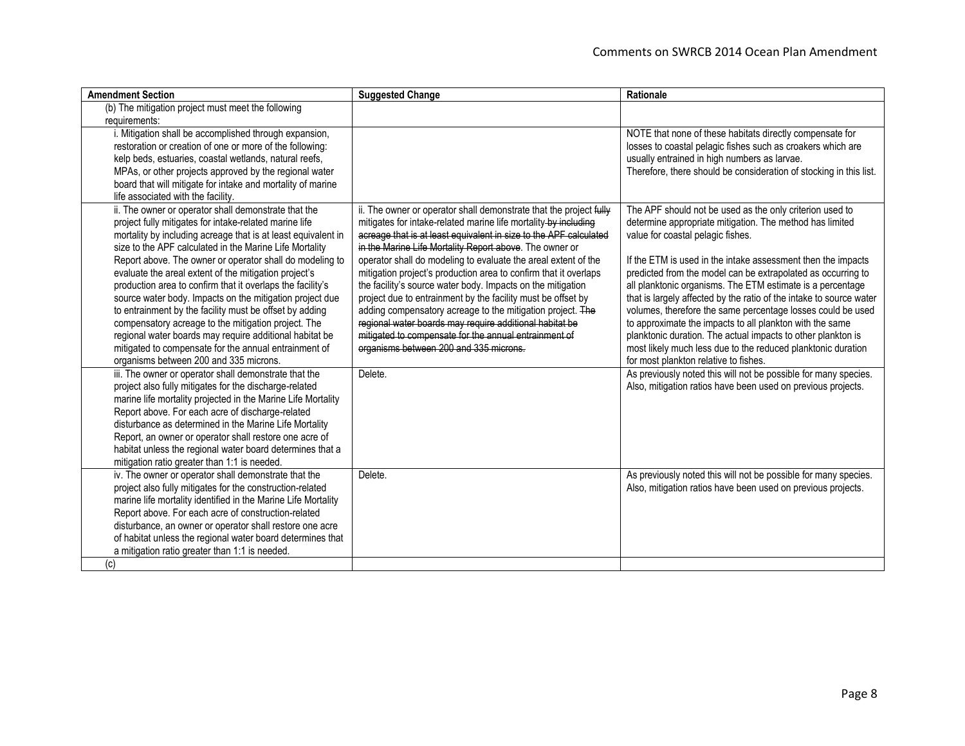| <b>Amendment Section</b>                                      | <b>Suggested Change</b>                                            | Rationale                                                           |
|---------------------------------------------------------------|--------------------------------------------------------------------|---------------------------------------------------------------------|
| (b) The mitigation project must meet the following            |                                                                    |                                                                     |
| requirements:                                                 |                                                                    |                                                                     |
| i. Mitigation shall be accomplished through expansion,        |                                                                    | NOTE that none of these habitats directly compensate for            |
| restoration or creation of one or more of the following:      |                                                                    | losses to coastal pelagic fishes such as croakers which are         |
| kelp beds, estuaries, coastal wetlands, natural reefs,        |                                                                    | usually entrained in high numbers as larvae.                        |
| MPAs, or other projects approved by the regional water        |                                                                    | Therefore, there should be consideration of stocking in this list.  |
| board that will mitigate for intake and mortality of marine   |                                                                    |                                                                     |
| life associated with the facility.                            |                                                                    |                                                                     |
| ii. The owner or operator shall demonstrate that the          | ii. The owner or operator shall demonstrate that the project fully | The APF should not be used as the only criterion used to            |
| project fully mitigates for intake-related marine life        | mitigates for intake-related marine life mortality by including    | determine appropriate mitigation. The method has limited            |
| mortality by including acreage that is at least equivalent in | acreage that is at least equivalent in size to the APF calculated  | value for coastal pelagic fishes.                                   |
| size to the APF calculated in the Marine Life Mortality       | in the Marine Life Mortality Report above. The owner or            |                                                                     |
| Report above. The owner or operator shall do modeling to      | operator shall do modeling to evaluate the areal extent of the     | If the ETM is used in the intake assessment then the impacts        |
| evaluate the areal extent of the mitigation project's         | mitigation project's production area to confirm that it overlaps   | predicted from the model can be extrapolated as occurring to        |
| production area to confirm that it overlaps the facility's    | the facility's source water body. Impacts on the mitigation        | all planktonic organisms. The ETM estimate is a percentage          |
| source water body. Impacts on the mitigation project due      | project due to entrainment by the facility must be offset by       | that is largely affected by the ratio of the intake to source water |
| to entrainment by the facility must be offset by adding       | adding compensatory acreage to the mitigation project. The         | volumes, therefore the same percentage losses could be used         |
| compensatory acreage to the mitigation project. The           | regional water boards may require additional habitat be            | to approximate the impacts to all plankton with the same            |
| regional water boards may require additional habitat be       | mitigated to compensate for the annual entrainment of              | planktonic duration. The actual impacts to other plankton is        |
| mitigated to compensate for the annual entrainment of         | organisms between 200 and 335 microns.                             | most likely much less due to the reduced planktonic duration        |
| organisms between 200 and 335 microns.                        |                                                                    | for most plankton relative to fishes.                               |
| iii. The owner or operator shall demonstrate that the         | Delete.                                                            | As previously noted this will not be possible for many species.     |
| project also fully mitigates for the discharge-related        |                                                                    | Also, mitigation ratios have been used on previous projects.        |
| marine life mortality projected in the Marine Life Mortality  |                                                                    |                                                                     |
| Report above. For each acre of discharge-related              |                                                                    |                                                                     |
| disturbance as determined in the Marine Life Mortality        |                                                                    |                                                                     |
| Report, an owner or operator shall restore one acre of        |                                                                    |                                                                     |
| habitat unless the regional water board determines that a     |                                                                    |                                                                     |
| mitigation ratio greater than 1:1 is needed.                  |                                                                    |                                                                     |
| iv. The owner or operator shall demonstrate that the          | Delete.                                                            | As previously noted this will not be possible for many species.     |
| project also fully mitigates for the construction-related     |                                                                    | Also, mitigation ratios have been used on previous projects.        |
| marine life mortality identified in the Marine Life Mortality |                                                                    |                                                                     |
| Report above. For each acre of construction-related           |                                                                    |                                                                     |
| disturbance, an owner or operator shall restore one acre      |                                                                    |                                                                     |
| of habitat unless the regional water board determines that    |                                                                    |                                                                     |
| a mitigation ratio greater than 1:1 is needed.                |                                                                    |                                                                     |
| (c)                                                           |                                                                    |                                                                     |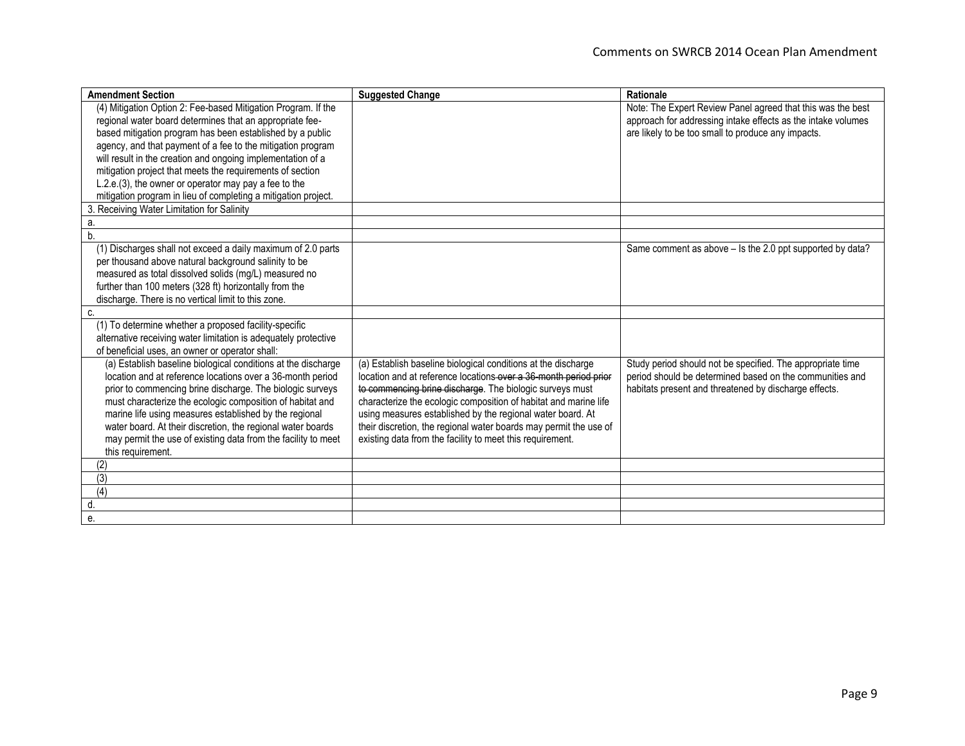| <b>Amendment Section</b>                                        | <b>Suggested Change</b>                                           | Rationale                                                    |
|-----------------------------------------------------------------|-------------------------------------------------------------------|--------------------------------------------------------------|
| (4) Mitigation Option 2: Fee-based Mitigation Program. If the   |                                                                   | Note: The Expert Review Panel agreed that this was the best  |
| regional water board determines that an appropriate fee-        |                                                                   | approach for addressing intake effects as the intake volumes |
| based mitigation program has been established by a public       |                                                                   | are likely to be too small to produce any impacts.           |
| agency, and that payment of a fee to the mitigation program     |                                                                   |                                                              |
| will result in the creation and ongoing implementation of a     |                                                                   |                                                              |
| mitigation project that meets the requirements of section       |                                                                   |                                                              |
| L.2.e.(3), the owner or operator may pay a fee to the           |                                                                   |                                                              |
| mitigation program in lieu of completing a mitigation project.  |                                                                   |                                                              |
| 3. Receiving Water Limitation for Salinity                      |                                                                   |                                                              |
| а.                                                              |                                                                   |                                                              |
| b.                                                              |                                                                   |                                                              |
| (1) Discharges shall not exceed a daily maximum of 2.0 parts    |                                                                   | Same comment as above – is the 2.0 ppt supported by data?    |
| per thousand above natural background salinity to be            |                                                                   |                                                              |
| measured as total dissolved solids (mg/L) measured no           |                                                                   |                                                              |
| further than 100 meters (328 ft) horizontally from the          |                                                                   |                                                              |
| discharge. There is no vertical limit to this zone.             |                                                                   |                                                              |
| C.                                                              |                                                                   |                                                              |
| (1) To determine whether a proposed facility-specific           |                                                                   |                                                              |
| alternative receiving water limitation is adequately protective |                                                                   |                                                              |
| of beneficial uses, an owner or operator shall:                 |                                                                   |                                                              |
| (a) Establish baseline biological conditions at the discharge   | (a) Establish baseline biological conditions at the discharge     | Study period should not be specified. The appropriate time   |
| location and at reference locations over a 36-month period      | location and at reference locations over a 36-month period prior  | period should be determined based on the communities and     |
| prior to commencing brine discharge. The biologic surveys       | to commencing brine discharge. The biologic surveys must          | habitats present and threatened by discharge effects.        |
| must characterize the ecologic composition of habitat and       | characterize the ecologic composition of habitat and marine life  |                                                              |
| marine life using measures established by the regional          | using measures established by the regional water board. At        |                                                              |
| water board. At their discretion, the regional water boards     | their discretion, the regional water boards may permit the use of |                                                              |
| may permit the use of existing data from the facility to meet   | existing data from the facility to meet this requirement.         |                                                              |
| this requirement.                                               |                                                                   |                                                              |
| (2)                                                             |                                                                   |                                                              |
| (3)                                                             |                                                                   |                                                              |
| $\overline{(4)}$                                                |                                                                   |                                                              |
| d.                                                              |                                                                   |                                                              |
| е.                                                              |                                                                   |                                                              |